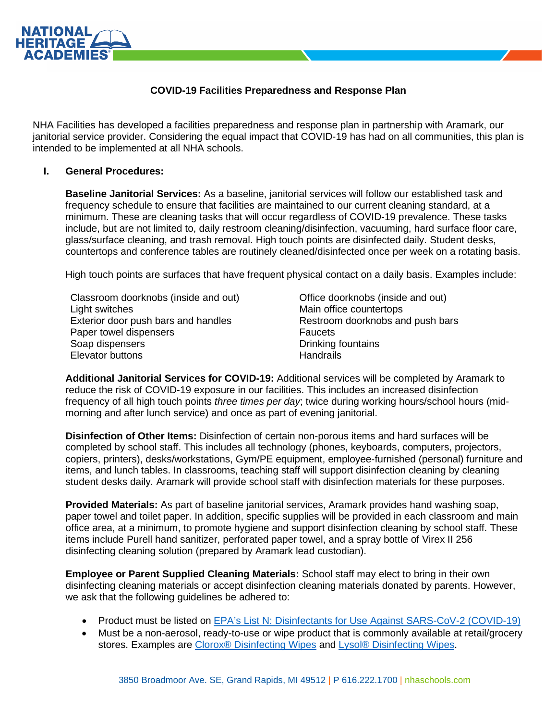

## **COVID-19 Facilities Preparedness and Response Plan**

NHA Facilities has developed a facilities preparedness and response plan in partnership with Aramark, our janitorial service provider. Considering the equal impact that COVID-19 has had on all communities, this plan is intended to be implemented at all NHA schools.

#### **I. General Procedures:**

**Baseline Janitorial Services:** As a baseline, janitorial services will follow our established task and frequency schedule to ensure that facilities are maintained to our current cleaning standard, at a minimum. These are cleaning tasks that will occur regardless of COVID-19 prevalence. These tasks include, but are not limited to, daily restroom cleaning/disinfection, vacuuming, hard surface floor care, glass/surface cleaning, and trash removal. High touch points are disinfected daily. Student desks, countertops and conference tables are routinely cleaned/disinfected once per week on a rotating basis.

High touch points are surfaces that have frequent physical contact on a daily basis. Examples include:

| Classroom doorknobs (inside and out) | Office d |
|--------------------------------------|----------|
| Light switches                       | Main off |
| Exterior door push bars and handles  | Restroo  |
| Paper towel dispensers               | Faucets  |
| Soap dispensers                      | Drinking |
| Elevator buttons                     | Handrai  |

Office doorknobs (inside and out) Main office countertops Restroom doorknobs and push bars Drinking fountains **Handrails** 

**Additional Janitorial Services for COVID-19:** Additional services will be completed by Aramark to reduce the risk of COVID-19 exposure in our facilities. This includes an increased disinfection frequency of all high touch points *three times per day*; twice during working hours/school hours (midmorning and after lunch service) and once as part of evening janitorial.

**Disinfection of Other Items:** Disinfection of certain non-porous items and hard surfaces will be completed by school staff. This includes all technology (phones, keyboards, computers, projectors, copiers, printers), desks/workstations, Gym/PE equipment, employee-furnished (personal) furniture and items, and lunch tables. In classrooms, teaching staff will support disinfection cleaning by cleaning student desks daily*.* Aramark will provide school staff with disinfection materials for these purposes.

**Provided Materials:** As part of baseline janitorial services, Aramark provides hand washing soap, paper towel and toilet paper. In addition, specific supplies will be provided in each classroom and main office area, at a minimum, to promote hygiene and support disinfection cleaning by school staff. These items include Purell hand sanitizer, perforated paper towel, and a spray bottle of Virex II 256 disinfecting cleaning solution (prepared by Aramark lead custodian).

**Employee or Parent Supplied Cleaning Materials:** School staff may elect to bring in their own disinfecting cleaning materials or accept disinfection cleaning materials donated by parents. However, we ask that the following guidelines be adhered to:

- Product must be listed on *[EPA's List N: Disinfectants for Use Against SARS-CoV-2 \(COVID-19\)](https://www.epa.gov/pesticide-registration/list-n-disinfectants-use-against-sars-cov-2-covid-19)*
- Must be a non-aerosol, ready-to-use or wipe product that is commonly available at retail/grocery stores. Examples are *[Clorox®](https://www.clorox.com/products/clorox-disinfecting-wipes/crisp-lemon/) [Disinfecting Wipes](https://www.clorox.com/products/clorox-disinfecting-wipes/crisp-lemon/)* and *[Lysol® Disinfecting Wipes](https://www.lysol.com/disinfecting-wipes/disinfecting-wipes/)*.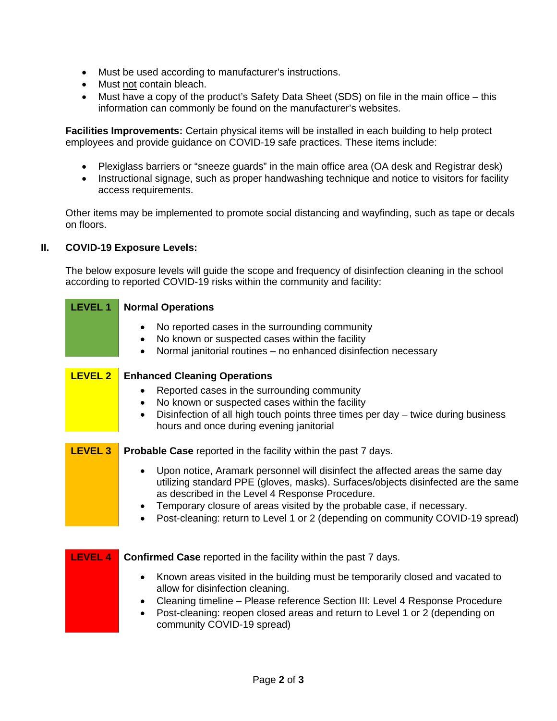- Must be used according to manufacturer's instructions.
- Must not contain bleach.
- Must have a copy of the product's Safety Data Sheet (SDS) on file in the main office this information can commonly be found on the manufacturer's websites.

**Facilities Improvements:** Certain physical items will be installed in each building to help protect employees and provide guidance on COVID-19 safe practices. These items include:

- Plexiglass barriers or "sneeze guards" in the main office area (OA desk and Registrar desk)
- Instructional signage, such as proper handwashing technique and notice to visitors for facility access requirements.

Other items may be implemented to promote social distancing and wayfinding, such as tape or decals on floors.

#### **II. COVID-19 Exposure Levels:**

The below exposure levels will guide the scope and frequency of disinfection cleaning in the school according to reported COVID-19 risks within the community and facility:

| <b>LEVEL 1</b> | <b>Normal Operations</b>                                                                                                                                                                                                                                                                                                                                                          |  |
|----------------|-----------------------------------------------------------------------------------------------------------------------------------------------------------------------------------------------------------------------------------------------------------------------------------------------------------------------------------------------------------------------------------|--|
|                | No reported cases in the surrounding community<br>$\bullet$<br>No known or suspected cases within the facility<br>$\bullet$<br>Normal janitorial routines - no enhanced disinfection necessary                                                                                                                                                                                    |  |
| <b>LEVEL 2</b> | <b>Enhanced Cleaning Operations</b><br>Reported cases in the surrounding community<br>No known or suspected cases within the facility                                                                                                                                                                                                                                             |  |
|                | Disinfection of all high touch points three times per day - twice during business<br>$\bullet$<br>hours and once during evening janitorial                                                                                                                                                                                                                                        |  |
| <b>LEVEL 3</b> | <b>Probable Case</b> reported in the facility within the past 7 days.                                                                                                                                                                                                                                                                                                             |  |
|                | Upon notice, Aramark personnel will disinfect the affected areas the same day<br>utilizing standard PPE (gloves, masks). Surfaces/objects disinfected are the same<br>as described in the Level 4 Response Procedure.<br>Temporary closure of areas visited by the probable case, if necessary.<br>Post-cleaning: return to Level 1 or 2 (depending on community COVID-19 spread) |  |
|                |                                                                                                                                                                                                                                                                                                                                                                                   |  |
| <b>LEVEL 4</b> | <b>Confirmed Case</b> reported in the facility within the past 7 days.                                                                                                                                                                                                                                                                                                            |  |
|                | Known areas visited in the building must be temporarily closed and vacated to<br>$\bullet$<br>allow for disinfection cleaning.<br>Cleaning timeline - Please reference Section III: Level 4 Response Procedure<br>Post-cleaning: reopen closed areas and return to Level 1 or 2 (depending on<br>community COVID-19 spread)                                                       |  |